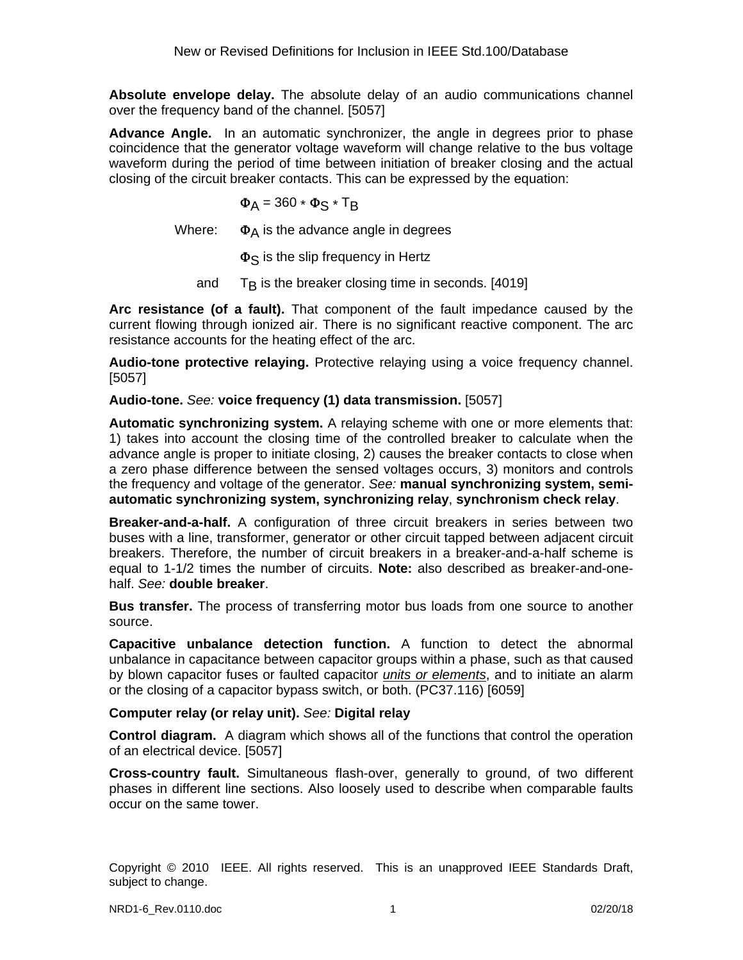**Absolute envelope delay.** The absolute delay of an audio communications channel over the frequency band of the channel. [5057]

**Advance Angle.** In an automatic synchronizer, the angle in degrees prior to phase coincidence that the generator voltage waveform will change relative to the bus voltage waveform during the period of time between initiation of breaker closing and the actual closing of the circuit breaker contacts. This can be expressed by the equation:

$$
\Phi_{A} = 360 \times \Phi_{S} \times T_{B}
$$

Where:  $\Phi_A$  is the advance angle in degrees

 $\Phi$ <sub>S</sub> is the slip frequency in Hertz

and  $T<sub>B</sub>$  is the breaker closing time in seconds. [4019]

**Arc resistance (of a fault).** That component of the fault impedance caused by the current flowing through ionized air. There is no significant reactive component. The arc resistance accounts for the heating effect of the arc.

**Audio-tone protective relaying.** Protective relaying using a voice frequency channel. [5057]

**Audio-tone.** *See:* **voice frequency (1) data transmission.** [5057]

**Automatic synchronizing system.** A relaying scheme with one or more elements that: 1) takes into account the closing time of the controlled breaker to calculate when the advance angle is proper to initiate closing, 2) causes the breaker contacts to close when a zero phase difference between the sensed voltages occurs, 3) monitors and controls the frequency and voltage of the generator. *See:* **manual synchronizing system, semiautomatic synchronizing system, synchronizing relay**, **synchronism check relay**.

**Breaker-and-a-half.** A configuration of three circuit breakers in series between two buses with a line, transformer, generator or other circuit tapped between adjacent circuit breakers. Therefore, the number of circuit breakers in a breaker-and-a-half scheme is equal to 1-1/2 times the number of circuits. **Note:** also described as breaker-and-onehalf. *See:* **double breaker**.

**Bus transfer.** The process of transferring motor bus loads from one source to another source.

**Capacitive unbalance detection function.** A function to detect the abnormal unbalance in capacitance between capacitor groups within a phase, such as that caused by blown capacitor fuses or faulted capacitor *units or elements*, and to initiate an alarm or the closing of a capacitor bypass switch, or both. (PC37.116) [6059]

### **Computer relay (or relay unit).** *See:* **Digital relay**

**Control diagram.** A diagram which shows all of the functions that control the operation of an electrical device. [5057]

**Cross-country fault.** Simultaneous flash-over, generally to ground, of two different phases in different line sections. Also loosely used to describe when comparable faults occur on the same tower.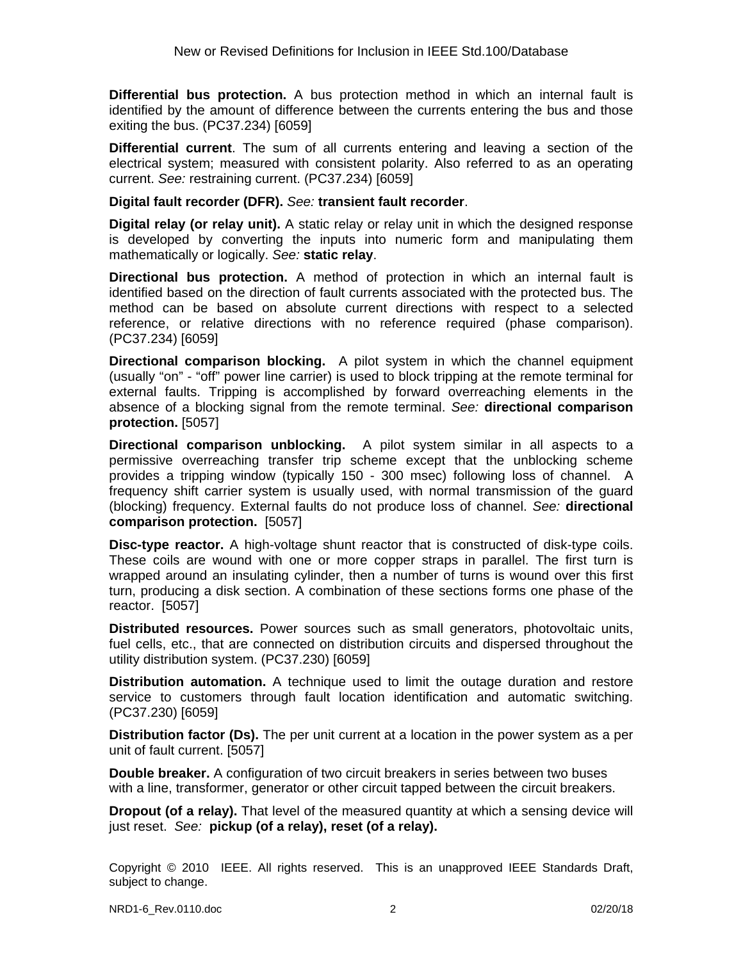**Differential bus protection.** A bus protection method in which an internal fault is identified by the amount of difference between the currents entering the bus and those exiting the bus. (PC37.234) [6059]

**Differential current**. The sum of all currents entering and leaving a section of the electrical system; measured with consistent polarity. Also referred to as an operating current. *See:* restraining current. (PC37.234) [6059]

#### **Digital fault recorder (DFR).** *See:* **transient fault recorder**.

**Digital relay (or relay unit).** A static relay or relay unit in which the designed response is developed by converting the inputs into numeric form and manipulating them mathematically or logically. *See:* **static relay**.

**Directional bus protection.** A method of protection in which an internal fault is identified based on the direction of fault currents associated with the protected bus. The method can be based on absolute current directions with respect to a selected reference, or relative directions with no reference required (phase comparison). (PC37.234) [6059]

**Directional comparison blocking.** A pilot system in which the channel equipment (usually "on" - "off" power line carrier) is used to block tripping at the remote terminal for external faults. Tripping is accomplished by forward overreaching elements in the absence of a blocking signal from the remote terminal. *See:* **directional comparison protection.** [5057]

**Directional comparison unblocking.** A pilot system similar in all aspects to a permissive overreaching transfer trip scheme except that the unblocking scheme provides a tripping window (typically 150 - 300 msec) following loss of channel. A frequency shift carrier system is usually used, with normal transmission of the guard (blocking) frequency. External faults do not produce loss of channel. *See:* **directional comparison protection.** [5057]

**Disc-type reactor.** A high-voltage shunt reactor that is constructed of disk-type coils. These coils are wound with one or more copper straps in parallel. The first turn is wrapped around an insulating cylinder, then a number of turns is wound over this first turn, producing a disk section. A combination of these sections forms one phase of the reactor. [5057]

**Distributed resources.** Power sources such as small generators, photovoltaic units, fuel cells, etc., that are connected on distribution circuits and dispersed throughout the utility distribution system. (PC37.230) [6059]

**Distribution automation.** A technique used to limit the outage duration and restore service to customers through fault location identification and automatic switching. (PC37.230) [6059]

**Distribution factor (Ds).** The per unit current at a location in the power system as a per unit of fault current. [5057]

**Double breaker.** A configuration of two circuit breakers in series between two buses with a line, transformer, generator or other circuit tapped between the circuit breakers.

**Dropout (of a relay).** That level of the measured quantity at which a sensing device will just reset. *See:* **pickup (of a relay), reset (of a relay).**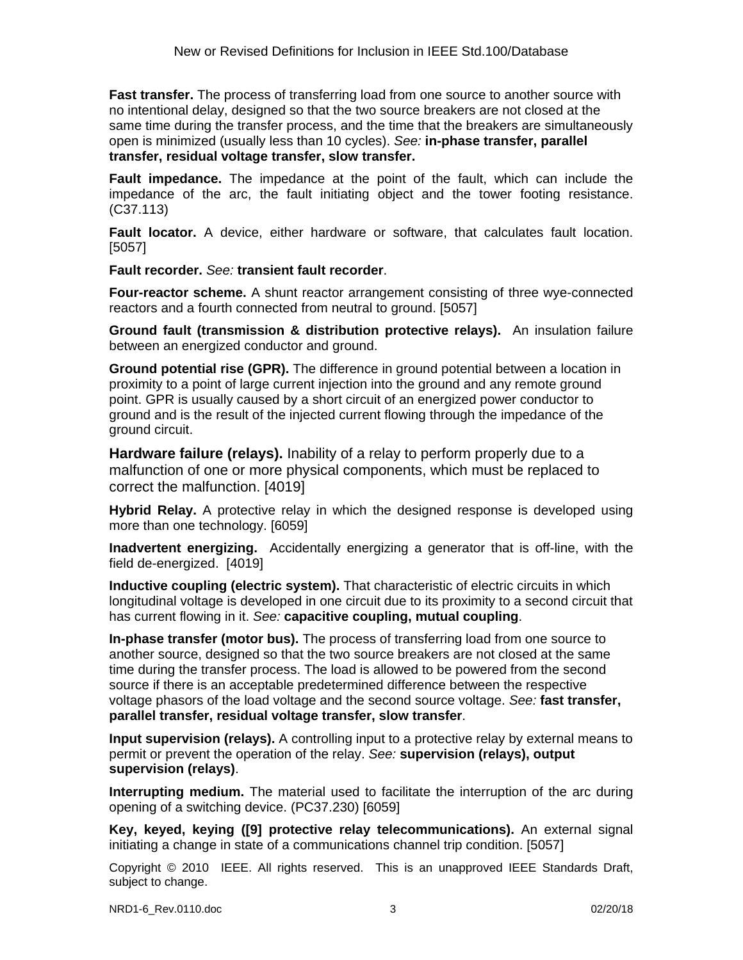**Fast transfer.** The process of transferring load from one source to another source with no intentional delay, designed so that the two source breakers are not closed at the same time during the transfer process, and the time that the breakers are simultaneously open is minimized (usually less than 10 cycles). *See:* **in-phase transfer, parallel transfer, residual voltage transfer, slow transfer.**

**Fault impedance.** The impedance at the point of the fault, which can include the impedance of the arc, the fault initiating object and the tower footing resistance. (C37.113)

**Fault locator.** A device, either hardware or software, that calculates fault location. [5057]

**Fault recorder.** *See:* **transient fault recorder**.

**Four-reactor scheme.** A shunt reactor arrangement consisting of three wye-connected reactors and a fourth connected from neutral to ground. [5057]

**Ground fault (transmission & distribution protective relays).** An insulation failure between an energized conductor and ground.

**Ground potential rise (GPR).** The difference in ground potential between a location in proximity to a point of large current injection into the ground and any remote ground point. GPR is usually caused by a short circuit of an energized power conductor to ground and is the result of the injected current flowing through the impedance of the ground circuit.

**Hardware failure (relays).** Inability of a relay to perform properly due to a malfunction of one or more physical components, which must be replaced to correct the malfunction. [4019]

**Hybrid Relay.** A protective relay in which the designed response is developed using more than one technology. [6059]

**Inadvertent energizing.** Accidentally energizing a generator that is off-line, with the field de-energized. [4019]

**Inductive coupling (electric system).** That characteristic of electric circuits in which longitudinal voltage is developed in one circuit due to its proximity to a second circuit that has current flowing in it. *See:* **capacitive coupling, mutual coupling**.

**In-phase transfer (motor bus).** The process of transferring load from one source to another source, designed so that the two source breakers are not closed at the same time during the transfer process. The load is allowed to be powered from the second source if there is an acceptable predetermined difference between the respective voltage phasors of the load voltage and the second source voltage. *See:* **fast transfer, parallel transfer, residual voltage transfer, slow transfer**.

**Input supervision (relays).** A controlling input to a protective relay by external means to permit or prevent the operation of the relay. *See:* **supervision (relays), output supervision (relays)**.

**Interrupting medium.** The material used to facilitate the interruption of the arc during opening of a switching device. (PC37.230) [6059]

**Key, keyed, keying ([9] protective relay telecommunications).** An external signal initiating a change in state of a communications channel trip condition. [5057]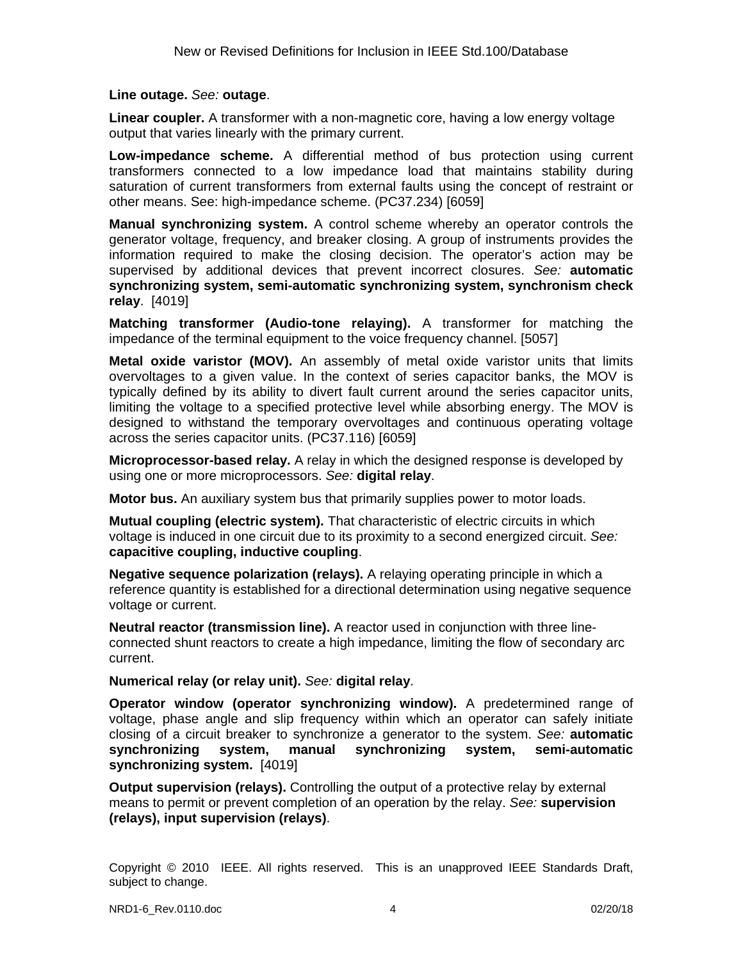#### **Line outage.** *See:* **outage**.

**Linear coupler.** A transformer with a non-magnetic core, having a low energy voltage output that varies linearly with the primary current.

**Low-impedance scheme.** A differential method of bus protection using current transformers connected to a low impedance load that maintains stability during saturation of current transformers from external faults using the concept of restraint or other means. See: high-impedance scheme. (PC37.234) [6059]

**Manual synchronizing system.** A control scheme whereby an operator controls the generator voltage, frequency, and breaker closing. A group of instruments provides the information required to make the closing decision. The operator's action may be supervised by additional devices that prevent incorrect closures. *See:* **automatic synchronizing system, semi-automatic synchronizing system, synchronism check relay**. [4019]

**Matching transformer (Audio-tone relaying).** A transformer for matching the impedance of the terminal equipment to the voice frequency channel. [5057]

**Metal oxide varistor (MOV).** An assembly of metal oxide varistor units that limits overvoltages to a given value. In the context of series capacitor banks, the MOV is typically defined by its ability to divert fault current around the series capacitor units, limiting the voltage to a specified protective level while absorbing energy. The MOV is designed to withstand the temporary overvoltages and continuous operating voltage across the series capacitor units. (PC37.116) [6059]

**Microprocessor-based relay.** A relay in which the designed response is developed by using one or more microprocessors. *See:* **digital relay**.

**Motor bus.** An auxiliary system bus that primarily supplies power to motor loads.

**Mutual coupling (electric system).** That characteristic of electric circuits in which voltage is induced in one circuit due to its proximity to a second energized circuit. *See:* **capacitive coupling, inductive coupling**.

**Negative sequence polarization (relays).** A relaying operating principle in which a reference quantity is established for a directional determination using negative sequence voltage or current.

**Neutral reactor (transmission line).** A reactor used in conjunction with three lineconnected shunt reactors to create a high impedance, limiting the flow of secondary arc current.

**Numerical relay (or relay unit).** *See:* **digital relay**.

**Operator window (operator synchronizing window).** A predetermined range of voltage, phase angle and slip frequency within which an operator can safely initiate closing of a circuit breaker to synchronize a generator to the system. *See:* **automatic synchronizing system, manual synchronizing system, semi-automatic synchronizing system.** [4019]

**Output supervision (relays).** Controlling the output of a protective relay by external means to permit or prevent completion of an operation by the relay. *See:* **supervision (relays), input supervision (relays)**.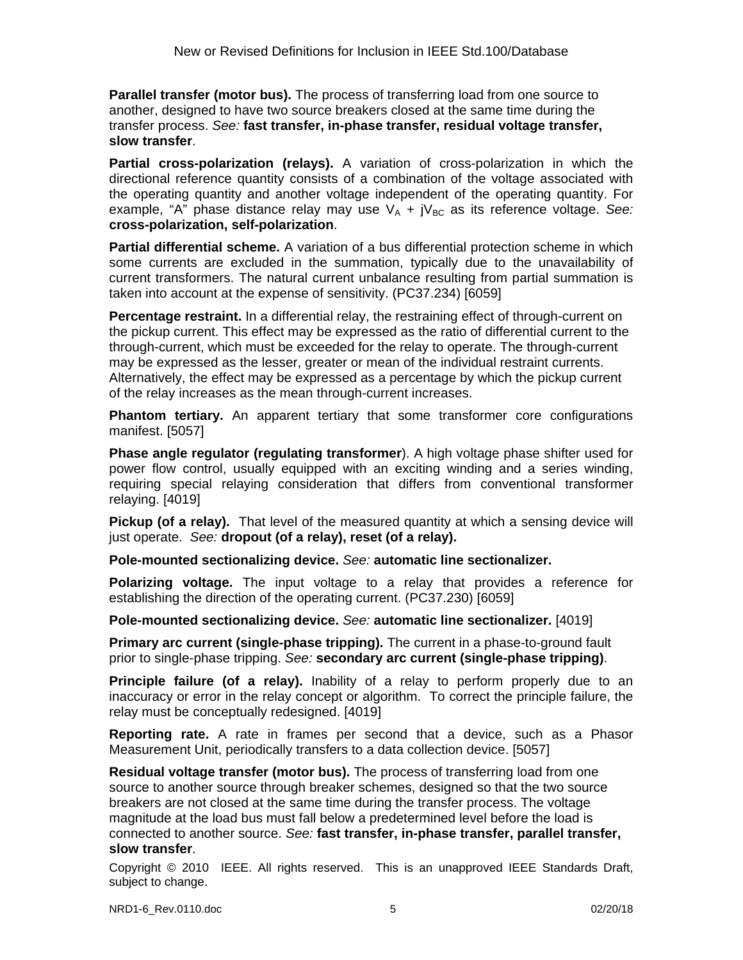**Parallel transfer (motor bus).** The process of transferring load from one source to another, designed to have two source breakers closed at the same time during the transfer process. *See:* **fast transfer, in-phase transfer, residual voltage transfer, slow transfer**.

**Partial cross-polarization (relays).** A variation of cross-polarization in which the directional reference quantity consists of a combination of the voltage associated with the operating quantity and another voltage independent of the operating quantity. For example, "A" phase distance relay may use  $V_A + iV_{BC}$  as its reference voltage. See: **cross-polarization, self-polarization**.

**Partial differential scheme.** A variation of a bus differential protection scheme in which some currents are excluded in the summation, typically due to the unavailability of current transformers. The natural current unbalance resulting from partial summation is taken into account at the expense of sensitivity. (PC37.234) [6059]

**Percentage restraint.** In a differential relay, the restraining effect of through-current on the pickup current. This effect may be expressed as the ratio of differential current to the through-current, which must be exceeded for the relay to operate. The through-current may be expressed as the lesser, greater or mean of the individual restraint currents. Alternatively, the effect may be expressed as a percentage by which the pickup current of the relay increases as the mean through-current increases.

**Phantom tertiary.** An apparent tertiary that some transformer core configurations manifest. [5057]

**Phase angle regulator (regulating transformer**). A high voltage phase shifter used for power flow control, usually equipped with an exciting winding and a series winding, requiring special relaying consideration that differs from conventional transformer relaying. [4019]

**Pickup (of a relay).** That level of the measured quantity at which a sensing device will just operate. *See:* **dropout (of a relay), reset (of a relay).**

**Pole-mounted sectionalizing device.** *See:* **automatic line sectionalizer.**

**Polarizing voltage.** The input voltage to a relay that provides a reference for establishing the direction of the operating current. (PC37.230) [6059]

**Pole-mounted sectionalizing device.** *See:* **automatic line sectionalizer.** [4019]

**Primary arc current (single-phase tripping).** The current in a phase-to-ground fault prior to single-phase tripping. *See:* **secondary arc current (single-phase tripping)**.

**Principle failure (of a relay).** Inability of a relay to perform properly due to an inaccuracy or error in the relay concept or algorithm. To correct the principle failure, the relay must be conceptually redesigned. [4019]

**Reporting rate.** A rate in frames per second that a device, such as a Phasor Measurement Unit, periodically transfers to a data collection device. [5057]

**Residual voltage transfer (motor bus).** The process of transferring load from one source to another source through breaker schemes, designed so that the two source breakers are not closed at the same time during the transfer process. The voltage magnitude at the load bus must fall below a predetermined level before the load is connected to another source. *See:* **fast transfer, in-phase transfer, parallel transfer, slow transfer**.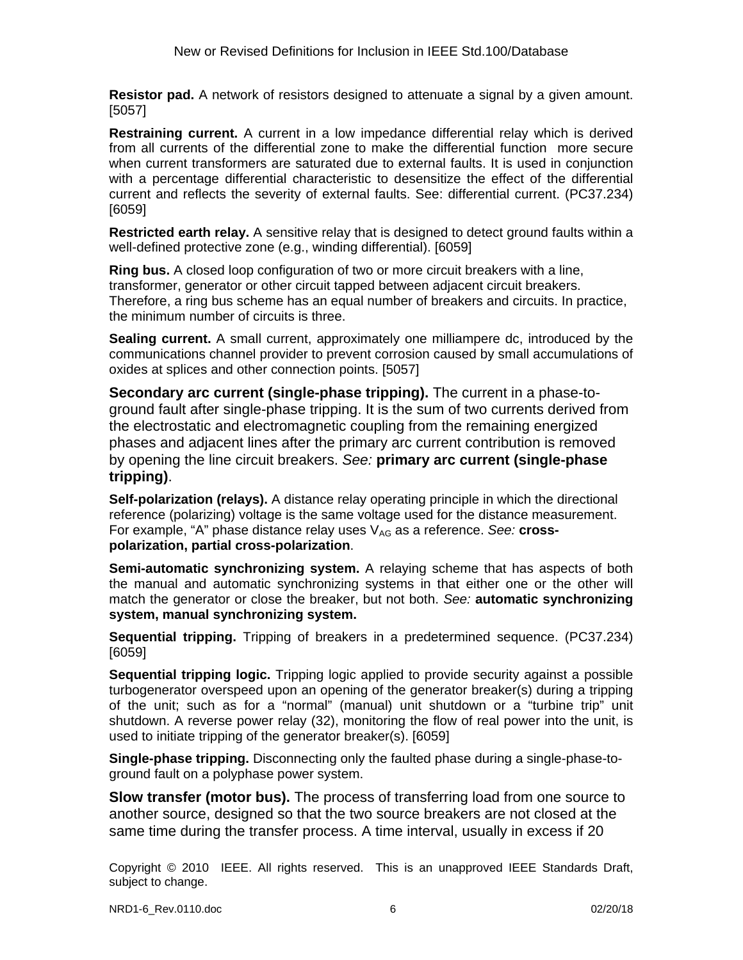**Resistor pad.** A network of resistors designed to attenuate a signal by a given amount. [5057]

**Restraining current.** A current in a low impedance differential relay which is derived from all currents of the differential zone to make the differential function more secure when current transformers are saturated due to external faults. It is used in conjunction with a percentage differential characteristic to desensitize the effect of the differential current and reflects the severity of external faults. See: differential current. (PC37.234) [6059]

**Restricted earth relay.** A sensitive relay that is designed to detect ground faults within a well-defined protective zone (e.g., winding differential). [6059]

**Ring bus.** A closed loop configuration of two or more circuit breakers with a line, transformer, generator or other circuit tapped between adjacent circuit breakers. Therefore, a ring bus scheme has an equal number of breakers and circuits. In practice, the minimum number of circuits is three.

**Sealing current.** A small current, approximately one milliampere dc, introduced by the communications channel provider to prevent corrosion caused by small accumulations of oxides at splices and other connection points. [5057]

**Secondary arc current (single-phase tripping).** The current in a phase-toground fault after single-phase tripping. It is the sum of two currents derived from the electrostatic and electromagnetic coupling from the remaining energized phases and adjacent lines after the primary arc current contribution is removed by opening the line circuit breakers. *See:* **primary arc current (single-phase tripping)**.

**Self-polarization (relays).** A distance relay operating principle in which the directional reference (polarizing) voltage is the same voltage used for the distance measurement. For example, "A" phase distance relay uses V<sub>AG</sub> as a reference. See: **crosspolarization, partial cross-polarization**.

**Semi-automatic synchronizing system.** A relaying scheme that has aspects of both the manual and automatic synchronizing systems in that either one or the other will match the generator or close the breaker, but not both. *See:* **automatic synchronizing system, manual synchronizing system.**

**Sequential tripping.** Tripping of breakers in a predetermined sequence. (PC37.234) [6059]

**Sequential tripping logic.** Tripping logic applied to provide security against a possible turbogenerator overspeed upon an opening of the generator breaker(s) during a tripping of the unit; such as for a "normal" (manual) unit shutdown or a "turbine trip" unit shutdown. A reverse power relay (32), monitoring the flow of real power into the unit, is used to initiate tripping of the generator breaker(s). [6059]

**Single-phase tripping.** Disconnecting only the faulted phase during a single-phase-toground fault on a polyphase power system.

**Slow transfer (motor bus).** The process of transferring load from one source to another source, designed so that the two source breakers are not closed at the same time during the transfer process. A time interval, usually in excess if 20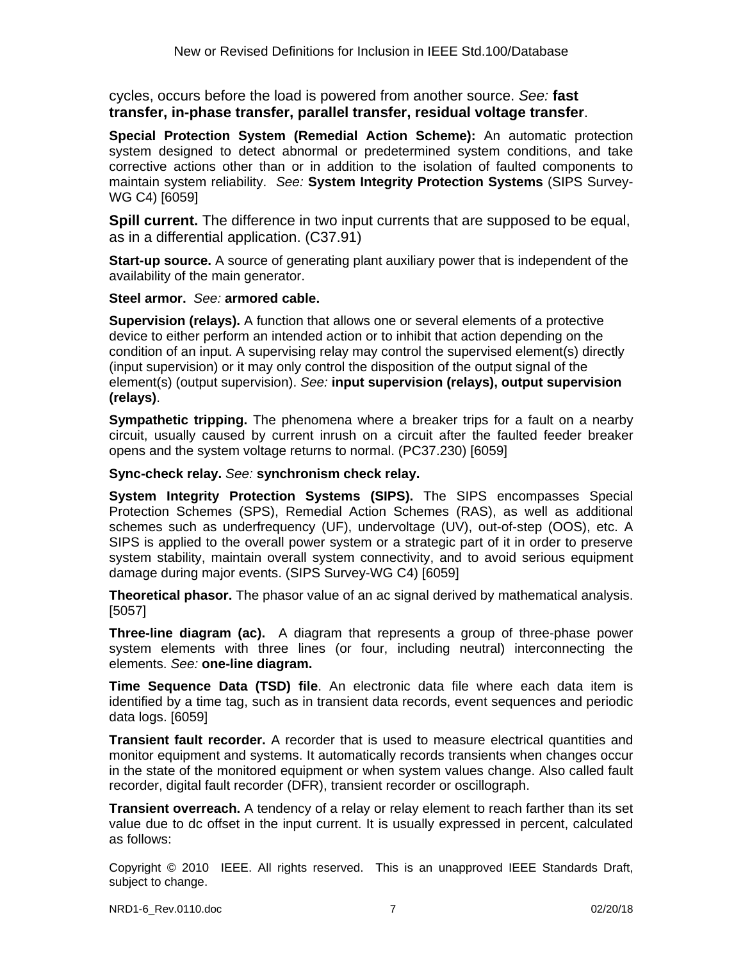cycles, occurs before the load is powered from another source. *See:* **fast transfer, in-phase transfer, parallel transfer, residual voltage transfer**.

**Special Protection System (Remedial Action Scheme):** An automatic protection system designed to detect abnormal or predetermined system conditions, and take corrective actions other than or in addition to the isolation of faulted components to maintain system reliability. *See:* **System Integrity Protection Systems** (SIPS Survey-WG C4) [6059]

**Spill current.** The difference in two input currents that are supposed to be equal, as in a differential application. (C37.91)

**Start-up source.** A source of generating plant auxiliary power that is independent of the availability of the main generator.

**Steel armor.** *See:* **armored cable.**

**Supervision (relays).** A function that allows one or several elements of a protective device to either perform an intended action or to inhibit that action depending on the condition of an input. A supervising relay may control the supervised element(s) directly (input supervision) or it may only control the disposition of the output signal of the element(s) (output supervision). *See:* **input supervision (relays), output supervision (relays)**.

**Sympathetic tripping.** The phenomena where a breaker trips for a fault on a nearby circuit, usually caused by current inrush on a circuit after the faulted feeder breaker opens and the system voltage returns to normal. (PC37.230) [6059]

**Sync-check relay.** *See:* **synchronism check relay.**

**System Integrity Protection Systems (SIPS).** The SIPS encompasses Special Protection Schemes (SPS), Remedial Action Schemes (RAS), as well as additional schemes such as underfrequency (UF), undervoltage (UV), out-of-step (OOS), etc. A SIPS is applied to the overall power system or a strategic part of it in order to preserve system stability, maintain overall system connectivity, and to avoid serious equipment damage during major events. (SIPS Survey-WG C4) [6059]

**Theoretical phasor.** The phasor value of an ac signal derived by mathematical analysis. [5057]

**Three-line diagram (ac).** A diagram that represents a group of three-phase power system elements with three lines (or four, including neutral) interconnecting the elements. *See:* **one-line diagram.**

**Time Sequence Data (TSD) file**. An electronic data file where each data item is identified by a time tag, such as in transient data records, event sequences and periodic data logs. [6059]

**Transient fault recorder.** A recorder that is used to measure electrical quantities and monitor equipment and systems. It automatically records transients when changes occur in the state of the monitored equipment or when system values change. Also called fault recorder, digital fault recorder (DFR), transient recorder or oscillograph.

**Transient overreach.** A tendency of a relay or relay element to reach farther than its set value due to dc offset in the input current. It is usually expressed in percent, calculated as follows: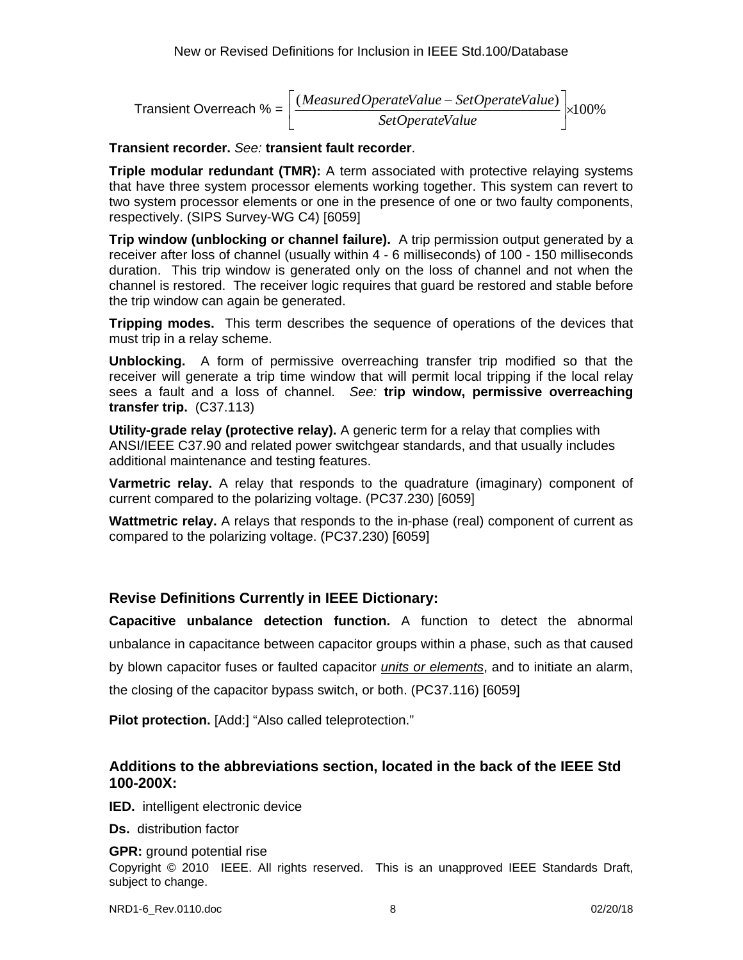$$
Transient Overreach % = \left[\frac{(Measured OperateValue - SetOperateValue)}{SetOperateValue}\right] \times 100\%
$$

#### **Transient recorder.** *See:* **transient fault recorder**.

**Triple modular redundant (TMR):** A term associated with protective relaying systems that have three system processor elements working together. This system can revert to two system processor elements or one in the presence of one or two faulty components, respectively. (SIPS Survey-WG C4) [6059]

**Trip window (unblocking or channel failure).** A trip permission output generated by a receiver after loss of channel (usually within 4 - 6 milliseconds) of 100 - 150 milliseconds duration. This trip window is generated only on the loss of channel and not when the channel is restored. The receiver logic requires that guard be restored and stable before the trip window can again be generated.

**Tripping modes.** This term describes the sequence of operations of the devices that must trip in a relay scheme.

**Unblocking.** A form of permissive overreaching transfer trip modified so that the receiver will generate a trip time window that will permit local tripping if the local relay sees a fault and a loss of channel. *See:* **trip window, permissive overreaching transfer trip.** (C37.113)

**Utility-grade relay (protective relay).** A generic term for a relay that complies with ANSI/IEEE C37.90 and related power switchgear standards, and that usually includes additional maintenance and testing features.

**Varmetric relay.** A relay that responds to the quadrature (imaginary) component of current compared to the polarizing voltage. (PC37.230) [6059]

**Wattmetric relay.** A relays that responds to the in-phase (real) component of current as compared to the polarizing voltage. (PC37.230) [6059]

# **Revise Definitions Currently in IEEE Dictionary:**

**Capacitive unbalance detection function.** A function to detect the abnormal unbalance in capacitance between capacitor groups within a phase, such as that caused by blown capacitor fuses or faulted capacitor *units or elements*, and to initiate an alarm, the closing of the capacitor bypass switch, or both. (PC37.116) [6059]

**Pilot protection.** [Add:] "Also called teleprotection."

## **Additions to the abbreviations section, located in the back of the IEEE Std 100-200X:**

**IED.** intelligent electronic device

**Ds.** distribution factor

**GPR:** ground potential rise